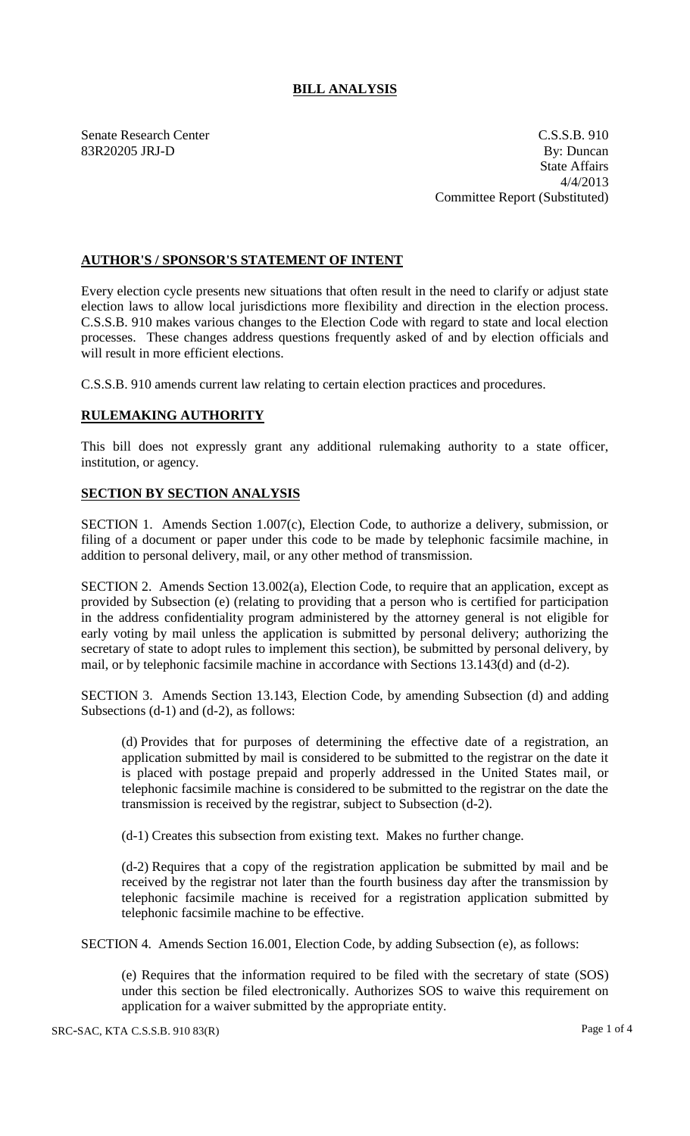## **BILL ANALYSIS**

Senate Research Center C.S.S.B. 910 83R20205 JRJ-D By: Duncan State Affairs 4/4/2013 Committee Report (Substituted)

## **AUTHOR'S / SPONSOR'S STATEMENT OF INTENT**

Every election cycle presents new situations that often result in the need to clarify or adjust state election laws to allow local jurisdictions more flexibility and direction in the election process. C.S.S.B. 910 makes various changes to the Election Code with regard to state and local election processes. These changes address questions frequently asked of and by election officials and will result in more efficient elections.

C.S.S.B. 910 amends current law relating to certain election practices and procedures.

## **RULEMAKING AUTHORITY**

This bill does not expressly grant any additional rulemaking authority to a state officer, institution, or agency.

## **SECTION BY SECTION ANALYSIS**

SECTION 1. Amends Section 1.007(c), Election Code, to authorize a delivery, submission, or filing of a document or paper under this code to be made by telephonic facsimile machine, in addition to personal delivery, mail, or any other method of transmission.

SECTION 2. Amends Section 13.002(a), Election Code, to require that an application, except as provided by Subsection (e) (relating to providing that a person who is certified for participation in the address confidentiality program administered by the attorney general is not eligible for early voting by mail unless the application is submitted by personal delivery; authorizing the secretary of state to adopt rules to implement this section), be submitted by personal delivery, by mail, or by telephonic facsimile machine in accordance with Sections 13.143(d) and (d-2).

SECTION 3. Amends Section 13.143, Election Code, by amending Subsection (d) and adding Subsections (d-1) and (d-2), as follows:

(d) Provides that for purposes of determining the effective date of a registration, an application submitted by mail is considered to be submitted to the registrar on the date it is placed with postage prepaid and properly addressed in the United States mail, or telephonic facsimile machine is considered to be submitted to the registrar on the date the transmission is received by the registrar, subject to Subsection (d-2).

(d-1) Creates this subsection from existing text. Makes no further change.

(d-2) Requires that a copy of the registration application be submitted by mail and be received by the registrar not later than the fourth business day after the transmission by telephonic facsimile machine is received for a registration application submitted by telephonic facsimile machine to be effective.

SECTION 4. Amends Section 16.001, Election Code, by adding Subsection (e), as follows:

(e) Requires that the information required to be filed with the secretary of state (SOS) under this section be filed electronically. Authorizes SOS to waive this requirement on application for a waiver submitted by the appropriate entity.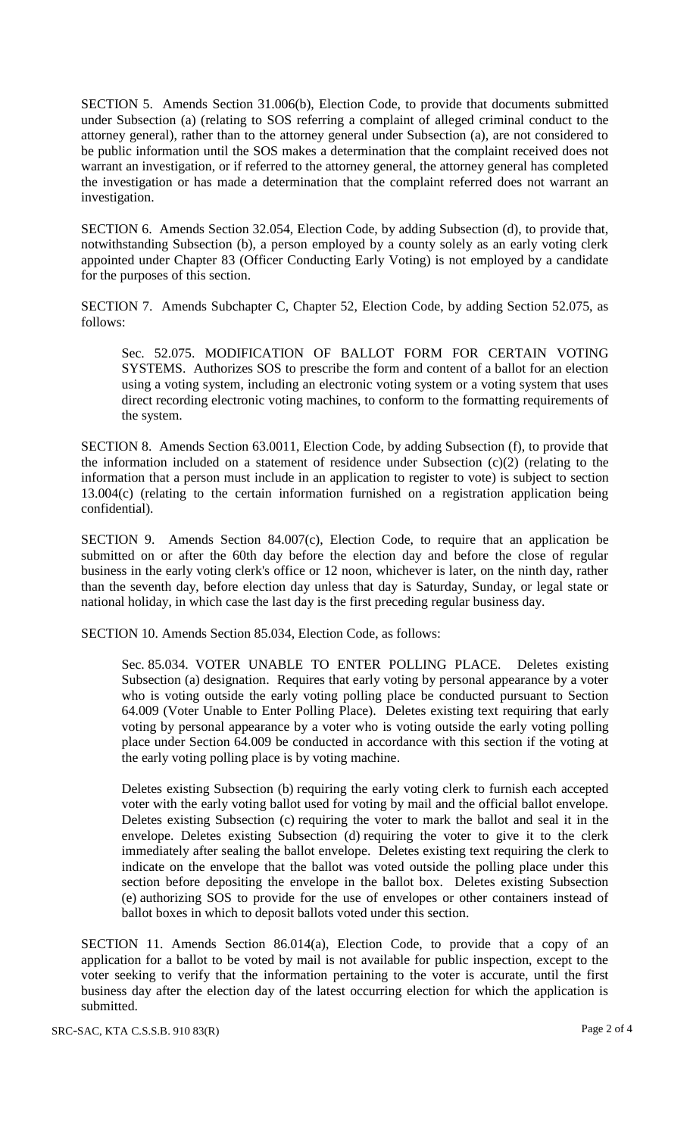SECTION 5. Amends Section 31.006(b), Election Code, to provide that documents submitted under Subsection (a) (relating to SOS referring a complaint of alleged criminal conduct to the attorney general), rather than to the attorney general under Subsection (a), are not considered to be public information until the SOS makes a determination that the complaint received does not warrant an investigation, or if referred to the attorney general, the attorney general has completed the investigation or has made a determination that the complaint referred does not warrant an investigation.

SECTION 6. Amends Section 32.054, Election Code, by adding Subsection (d), to provide that, notwithstanding Subsection (b), a person employed by a county solely as an early voting clerk appointed under Chapter 83 (Officer Conducting Early Voting) is not employed by a candidate for the purposes of this section.

SECTION 7. Amends Subchapter C, Chapter 52, Election Code, by adding Section 52.075, as follows:

Sec. 52.075. MODIFICATION OF BALLOT FORM FOR CERTAIN VOTING SYSTEMS. Authorizes SOS to prescribe the form and content of a ballot for an election using a voting system, including an electronic voting system or a voting system that uses direct recording electronic voting machines, to conform to the formatting requirements of the system.

SECTION 8. Amends Section 63.0011, Election Code, by adding Subsection (f), to provide that the information included on a statement of residence under Subsection (c)(2) (relating to the information that a person must include in an application to register to vote) is subject to section 13.004(c) (relating to the certain information furnished on a registration application being confidential).

SECTION 9. Amends Section 84.007(c), Election Code, to require that an application be submitted on or after the 60th day before the election day and before the close of regular business in the early voting clerk's office or 12 noon, whichever is later, on the ninth day, rather than the seventh day, before election day unless that day is Saturday, Sunday, or legal state or national holiday, in which case the last day is the first preceding regular business day.

SECTION 10. Amends Section 85.034, Election Code, as follows:

Sec. 85.034. VOTER UNABLE TO ENTER POLLING PLACE. Deletes existing Subsection (a) designation. Requires that early voting by personal appearance by a voter who is voting outside the early voting polling place be conducted pursuant to Section 64.009 (Voter Unable to Enter Polling Place). Deletes existing text requiring that early voting by personal appearance by a voter who is voting outside the early voting polling place under Section 64.009 be conducted in accordance with this section if the voting at the early voting polling place is by voting machine.

Deletes existing Subsection (b) requiring the early voting clerk to furnish each accepted voter with the early voting ballot used for voting by mail and the official ballot envelope. Deletes existing Subsection (c) requiring the voter to mark the ballot and seal it in the envelope. Deletes existing Subsection (d) requiring the voter to give it to the clerk immediately after sealing the ballot envelope. Deletes existing text requiring the clerk to indicate on the envelope that the ballot was voted outside the polling place under this section before depositing the envelope in the ballot box. Deletes existing Subsection (e) authorizing SOS to provide for the use of envelopes or other containers instead of ballot boxes in which to deposit ballots voted under this section.

SECTION 11. Amends Section 86.014(a), Election Code, to provide that a copy of an application for a ballot to be voted by mail is not available for public inspection, except to the voter seeking to verify that the information pertaining to the voter is accurate, until the first business day after the election day of the latest occurring election for which the application is submitted.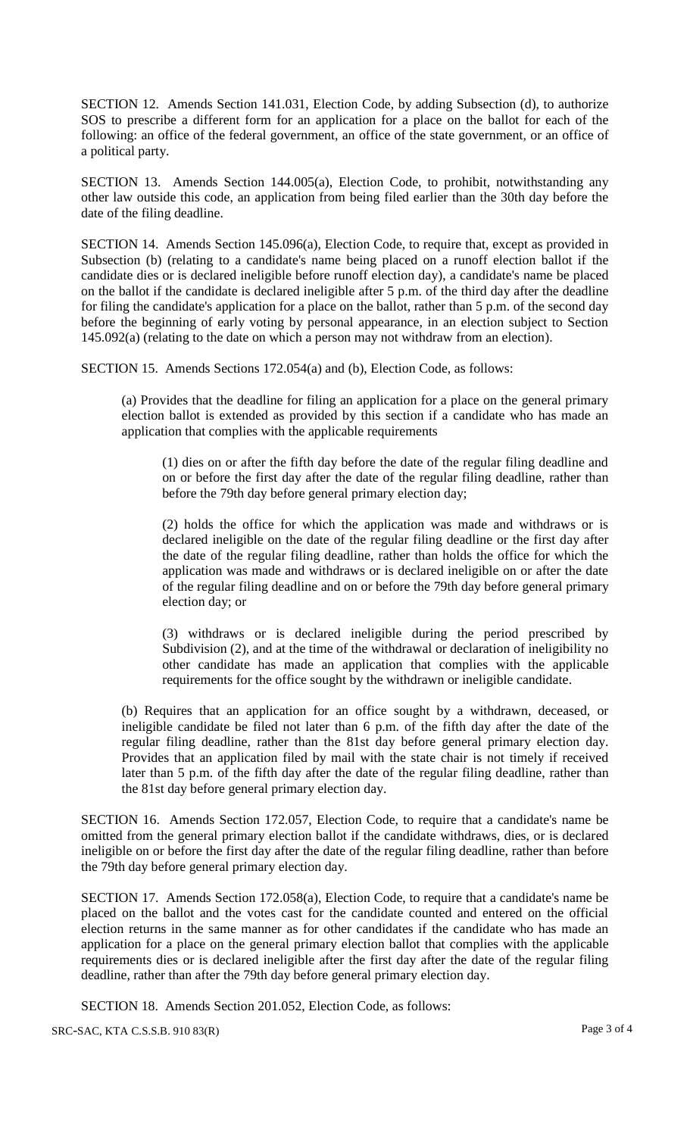SECTION 12. Amends Section 141.031, Election Code, by adding Subsection (d), to authorize SOS to prescribe a different form for an application for a place on the ballot for each of the following: an office of the federal government, an office of the state government, or an office of a political party.

SECTION 13. Amends Section 144.005(a), Election Code, to prohibit, notwithstanding any other law outside this code, an application from being filed earlier than the 30th day before the date of the filing deadline.

SECTION 14. Amends Section 145.096(a), Election Code, to require that, except as provided in Subsection (b) (relating to a candidate's name being placed on a runoff election ballot if the candidate dies or is declared ineligible before runoff election day), a candidate's name be placed on the ballot if the candidate is declared ineligible after 5 p.m. of the third day after the deadline for filing the candidate's application for a place on the ballot, rather than 5 p.m. of the second day before the beginning of early voting by personal appearance, in an election subject to Section 145.092(a) (relating to the date on which a person may not withdraw from an election).

SECTION 15. Amends Sections 172.054(a) and (b), Election Code, as follows:

(a) Provides that the deadline for filing an application for a place on the general primary election ballot is extended as provided by this section if a candidate who has made an application that complies with the applicable requirements

(1) dies on or after the fifth day before the date of the regular filing deadline and on or before the first day after the date of the regular filing deadline, rather than before the 79th day before general primary election day;

(2) holds the office for which the application was made and withdraws or is declared ineligible on the date of the regular filing deadline or the first day after the date of the regular filing deadline, rather than holds the office for which the application was made and withdraws or is declared ineligible on or after the date of the regular filing deadline and on or before the 79th day before general primary election day; or

(3) withdraws or is declared ineligible during the period prescribed by Subdivision (2), and at the time of the withdrawal or declaration of ineligibility no other candidate has made an application that complies with the applicable requirements for the office sought by the withdrawn or ineligible candidate.

(b) Requires that an application for an office sought by a withdrawn, deceased, or ineligible candidate be filed not later than 6 p.m. of the fifth day after the date of the regular filing deadline, rather than the 81st day before general primary election day. Provides that an application filed by mail with the state chair is not timely if received later than 5 p.m. of the fifth day after the date of the regular filing deadline, rather than the 81st day before general primary election day.

SECTION 16. Amends Section 172.057, Election Code, to require that a candidate's name be omitted from the general primary election ballot if the candidate withdraws, dies, or is declared ineligible on or before the first day after the date of the regular filing deadline, rather than before the 79th day before general primary election day.

SECTION 17. Amends Section 172.058(a), Election Code, to require that a candidate's name be placed on the ballot and the votes cast for the candidate counted and entered on the official election returns in the same manner as for other candidates if the candidate who has made an application for a place on the general primary election ballot that complies with the applicable requirements dies or is declared ineligible after the first day after the date of the regular filing deadline, rather than after the 79th day before general primary election day.

SECTION 18. Amends Section 201.052, Election Code, as follows:

SRC-SAC, KTA C.S.S.B. 910 83(R) Page 3 of 4